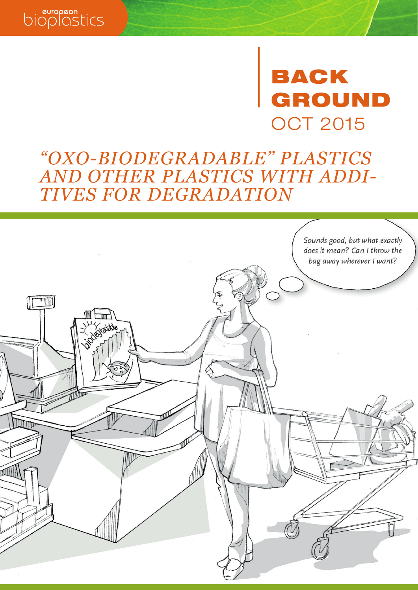

### European Bioplastics e.V. Marienstr. 19/20 10117 Berlin European Bioplastics e.V.  $\sim$   $-$  0.101 +4.49 24  $\rightarrow$   $\rightarrow$   $\rightarrow$  GROUND *phone fax* OCT 2015 BACK

## *"OXO-BIODEGRADABLE" PLASTICS AND OTHER PLASTICS WITH ADDI-TIVES FOR DEGRADATION*

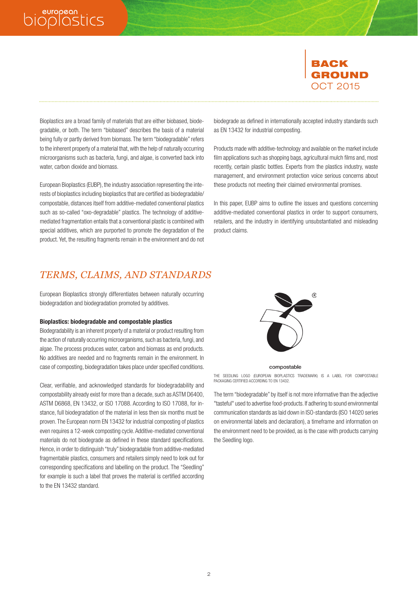## biopless.



Bioplastics are a broad family of materials that are either biobased, biodegradable, or both. The term "biobased" describes the basis of a material being fully or partly derived from biomass. The term "biodegradable" refers to the inherent property of a material that, with the help of naturally occurring microorganisms such as bacteria, fungi, and algae, is converted back into water, carbon dioxide and biomass.

European Bioplastics e.V. Marienstr. 19/20 10117 Berlin European Bioplastics e.V.

European Bioplastics (EUBP), the industry association representing the interests of bioplastics including bioplastics that are certified as biodegradable/ compostable, distances itself from additive-mediated conventional plastics such as so-called "oxo-degradable" plastics. The technology of additivemediated fragmentation entails that a conventional plastic is combined with special additives, which are purported to promote the degradation of the product. Yet, the resulting fragments remain in the environment and do not

Marienstr. 19/20, 10117 Berlin +49.30.28 48 23 50 *phone* biodegrade as defined in internationally accepted industry standards such as EN 13432 for industrial composting.

Products made with additive-technology and available on the market include film applications such as shopping bags, agricultural mulch films and, most recently, certain plastic bottles. Experts from the plastics industry, waste management, and environment protection voice serious concerns about these products not meeting their claimed environmental promises.

In this paper, EUBP aims to outline the issues and questions concerning additive-mediated conventional plastics in order to support consumers, retailers, and the industry in identifying unsubstantiated and misleading product claims.

## *TERMS, CLAIMS, AND STANDARDS*

European Bioplastics strongly differentiates between naturally occurring biodegradation and biodegradation promoted by additives.

#### Bioplastics: biodegradable and compostable plastics

Biodegradability is an inherent property of a material or product resulting from the action of naturally occurring microorganisms, such as bacteria, fungi, and algae. The process produces water, carbon and biomass as end products. No additives are needed and no fragments remain in the environment. In case of composting, biodegradation takes place under specified conditions.

Clear, verifiable, and acknowledged standards for biodegradability and compostability already exist for more than a decade, such as ASTM D6400, ASTM D6868, EN 13432, or ISO 17088. According to ISO 17088, for instance, full biodegradation of the material in less then six months must be proven. The European norm EN 13432 for industrial composting of plastics even requires a 12-week composting cycle. Additive-mediated conventional materials do not biodegrade as defined in these standard specifications. Hence, in order to distinguish "truly" biodegradable from additive-mediated fragmentable plastics, consumers and retailers simply need to look out for corresponding specifications and labelling on the product. The "Seedling" for example is such a label that proves the material is certified according to the EN 13432 standard.



#### compostable

THE SEEDLING LOGO (EUROPEAN BIOPLASTICS TRADEMARK) IS A LABEL FOR COMPOSTABLE PACKAGING CERTIFIED ACCORDING TO EN 13432.

The term "biodegradable" by itself is not more informative than the adjective "tasteful" used to advertise food-products. If adhering to sound environmental communication standards as laid down in ISO-standards (ISO 14020 series on environmental labels and declaration), a timeframe and information on the environment need to be provided, as is the case with products carrying the Seedling logo.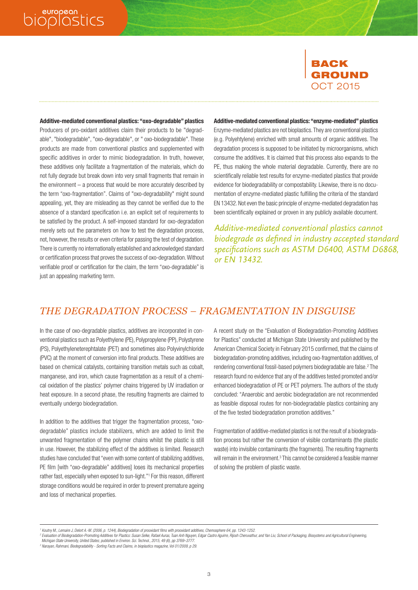# bioplastics

## BACK GROUND OCT 2015

Additive-mediated conventional plastics: "oxo-degradable" plastics Producers of pro-oxidant additives claim their products to be "degradable", "biodegradable", "oxo-degradable", or " oxo-biodegradable". These products are made from conventional plastics and supplemented with specific additives in order to mimic biodegradation. In truth, however, these additives only facilitate a fragmentation of the materials, which do not fully degrade but break down into very small fragments that remain in the environment – a process that would be more accurately described by the term "oxo-fragmentation". Claims of "oxo-degradability" might sound appealing, yet, they are misleading as they cannot be verified due to the absence of a standard specification i.e. an explicit set of requirements to be satisfied by the product. A self-imposed standard for oxo-degradation merely sets out the parameters on how to test the degradation process, not, however, the results or even criteria for passing the test of degradation. There is currently no internationally established and acknowledged standard or certification process that proves the success of oxo-degradation. Without verifiable proof or certification for the claim, the term "oxo-degradable" is just an appealing marketing term.

Marienstr. 19/20, 10117 Berlin Additive-mediated conventional plastics: "enzyme-mediated" plastics

Enzyme-mediated plastics are not bioplastics. They are conventional plastics (e.g. Polyehtylene) enriched with small amounts of organic additives. The degradation process is supposed to be initiated by microorganisms, which consume the additives. It is claimed that this process also expands to the PE, thus making the whole material degradable. Currently, there are no scientifically reliable test results for enzyme-mediated plastics that provide evidence for biodegradability or compostability. Likewise, there is no documentation of enzyme-mediated plastic fulfilling the criteria of the standard EN 13432. Not even the basic principle of enzyme-mediated degradation has been scientifically explained or proven in any publicly available document.

*Additive-mediated conventional plastics cannot biodegrade as defined in industry accepted standard specifications such as ASTM D6400, ASTM D6868, or EN 13432.*

## *THE DEGRADATION PROCESS – FRAGMENTATION IN DISGUISE*

European Bioplastics e.V. Marienstr. 19/20 10117 Berlin European Bioplastics e.V.

In the case of oxo-degradable plastics, additives are incorporated in conventional plastics such as Polyethylene (PE), Polypropylene (PP), Polystyrene (PS), Polyethyleneterephtalate (PET) and sometimes also Polyvinylchloride (PVC) at the moment of conversion into final products. These additives are based on chemical catalysts, containing transition metals such as cobalt, manganese, and iron, which cause fragmentation as a result of a chemical oxidation of the plastics' polymer chains triggered by UV irradiation or heat exposure. In a second phase, the resulting fragments are claimed to eventually undergo biodegradation.

In addition to the additives that trigger the fragmentation process, "oxodegradable" plastics include stabilizers, which are added to limit the unwanted fragmentation of the polymer chains whilst the plastic is still in use. However, the stabilizing effect of the additives is limited. Research studies have concluded that "even with some content of stabilizing additives, PE film [with "oxo-degradable" additives] loses its mechanical properties rather fast, especially when exposed to sun-light."1 For this reason, different storage conditions would be required in order to prevent premature ageing and loss of mechanical properties.

A recent study on the "Evaluation of Biodegradation-Promoting Additives for Plastics" conducted at Michigan State University and published by the American Chemical Society in February 2015 confirmed, that the claims of biodegradation-promoting additives, including oxo-fragmentation additives, of rendering conventional fossil-based polymers biodegradable are false.<sup>2</sup> The research found no evidence that any of the additives tested promoted and/or enhanced biodegradation of PE or PET polymers. The authors of the study concluded: "Anaerobic and aerobic biodegradation are not recommended as feasible disposal routes for non-biodegradable plastics containing any of the five tested biodegradation promotion additives."

Fragmentation of additive-mediated plastics is not the result of a biodegradation process but rather the conversion of visible contaminants (the plastic waste) into invisible contaminants (the fragments). The resulting fragments will remain in the environment.<sup>3</sup> This cannot be considered a feasible manner of solving the problem of plastic waste.

*<sup>1</sup> Koutny M., Lemaire J, Delort A.-M. (2006, p. 1244), Biodegradation of prooxidant films with prooxidant additives, Chemosphere 64, pp. 1243-1252.*

<sup>2</sup> Evaluation of Biodegradation-Promoting Additives for Plastics: Susan Selke, Rafael Auras, Tuan Anh Nguyen, Edgar Castro Aguirre, Rijosh Cheruvathur, and Yan Liu; School of Packaging, Biosystems and Agricultural Engineeri  *Michigan State University, United States; published in Environ. Sci. Technol., 2015, 49 (6), pp 3769–3777.*

*<sup>3</sup> Narayan, Rahmani, Biodegradability - Sorting Facts and Claims, in bioplastics magazine, Vol 01/2009, p 29.*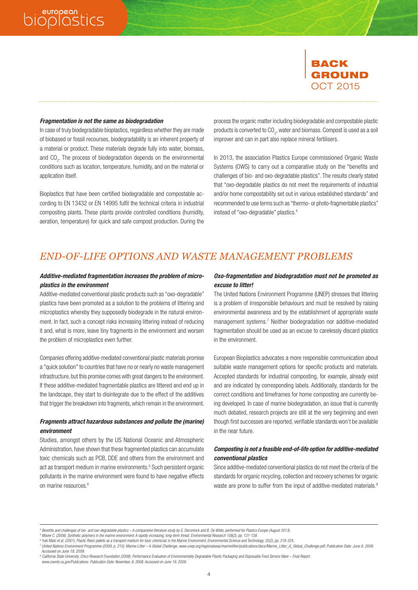## bioplostics

## BACK GROUND OCT 2015

#### Fragmentation is not the same as biodegradation

In case of truly biodegradable bioplastics, regardless whether they are made of biobased or fossil recourses, biodegradability is an inherent property of a material or product. These materials degrade fully into water, biomass, and CO<sub>2</sub>. The process of biodegradation depends on the environmental conditions such as location, temperature, humidity, and on the material or application itself.

Bioplastics that have been certified biodegradable and compostable according to EN 13432 or EN 14995 fulfil the technical criteria in industrial composting plants. These plants provide controlled conditions (humidity, aeration, temperature) for quick and safe compost production. During the

Marienstr. 19/20, 10117 Berlin process the organic matter including biodegradable and compostable plastic products is converted to CO<sub>2</sub>, water and biomass. Compost is used as a soil improver and can in part also replace mineral fertilisers.

In 2013, the association Plastics Europe commissioned Organic Waste Systems (OWS) to carry out a comparative study on the "benefits and challenges of bio- and oxo-degradable plastics". The results clearly stated that "oxo-degradable plastics do not meet the requirements of industrial and/or home compostability set out in various established standards" and recommended to use terms such as "thermo- or photo-fragmentable plastics" instead of "oxo-degradable" plastics.4

### *END-OF-LIFE OPTIONS AND WASTE MANAGEMENT PROBLEMS*

European Bioplastics e.V. Marienstr. 19/20 10117 Berlin European Bioplastics e.V.

#### Additive-mediated fragmentation increases the problem of microplastics in the environment

Additive-mediated conventional plastic products such as "oxo-degradable" plastics have been promoted as a solution to the problems of littering and microplastics whereby they supposedly biodegrade in the natural environment. In fact, such a concept risks increasing littering instead of reducing it and, what is more, leave tiny fragments in the environment and worsen the problem of microplastics even further.

Companies offering additive-mediated conventional plastic materials promise a "quick solution" to countries that have no or nearly no waste management infrastructure, but this promise comes with great dangers to the environment. If these additive-mediated fragmentable plastics are littered and end up in the landscape, they start to disintegrate due to the effect of the additives that trigger the breakdown into fragments, which remain in the environment.

### Fragments attract hazardous substances and pollute the (marine) environment

Studies, amongst others by the US National Oceanic and Atmospheric Administration, have shown that these fragmented plastics can accumulate toxic chemicals such as PCB, DDE and others from the environment and act as transport medium in marine environments.<sup>5</sup> Such persistent organic pollutants in the marine environment were found to have negative effects on marine resources.<sup>6</sup>

#### Oxo-fragmentation and biodegradation must not be promoted as excuse to litter!

The United Nations Environment Programme (UNEP) stresses that littering is a problem of irresponsible behaviours and must be resolved by raising environmental awareness and by the establishment of appropriate waste management systems.7 Neither biodegradation nor additive-mediated fragmentation should be used as an excuse to carelessly discard plastics in the environment.

European Bioplastics advocates a more responsible communication about suitable waste management options for specific products and materials. Accepted standards for industrial composting, for example, already exist and are indicated by corresponding labels. Additionally, standards for the correct conditions and timeframes for home composting are currently being developed. In case of marine biodegradation, an issue that is currently much debated, research projects are still at the very beginning and even though first successes are reported, verifiable standards won't be available in the near future.

### Composting is not a feasible end-of-life option for additive-mediated conventional plastics

Since additive-mediated conventional plastics do not meet the criteria of the standards for organic recycling, collection and recovery schemes for organic waste are prone to suffer from the input of additive-mediated materials.<sup>8</sup>

4

VR 19997 Nz, Amtsgericht Charlottenburg, USt-IdNr. DE235874231  *www.ciwmb.ca.gov/Publications. Publication Date: November, 8, 2008. Accessed on June 19, 2009.8 California State University, Chico Research Foundation (2008). Performance Evaluation of Environmentally Degradable Plastic Packaging and Disposable Food Service Ware – Final Report.* 

*<sup>4</sup> Benefits and challenges of bio- and oxo-degradable plastics – A comparative literature study by S. Deconinck and B. De Wilde, performed for Plastics Europe (August 2013).*

*<sup>5</sup> Moore C. (2008). Synthetic polymers in the marine environment: A rapidly increasing, long-term threat. Environmental Research 108(2), pp. 131-139.*

*<sup>6</sup> Yuki Mato et.al. (2001), Plastic Resin pallets as a transport medium for toxic chemicals in the Marine Environment, Environmental Science and Technology, 35(2), pp. 318-324.* 

<sup>7</sup> United Nations Environment Programme (2009, p. 215). Marine Litter – A Global Challenge, www.unep.org/regionalseas/marinelitter/publications/docs/Marine\_Litter\_A\_Global\_Challenge.pdf, Publication Date: June 9, 2009.  *Accessed on June 19, 2009.*